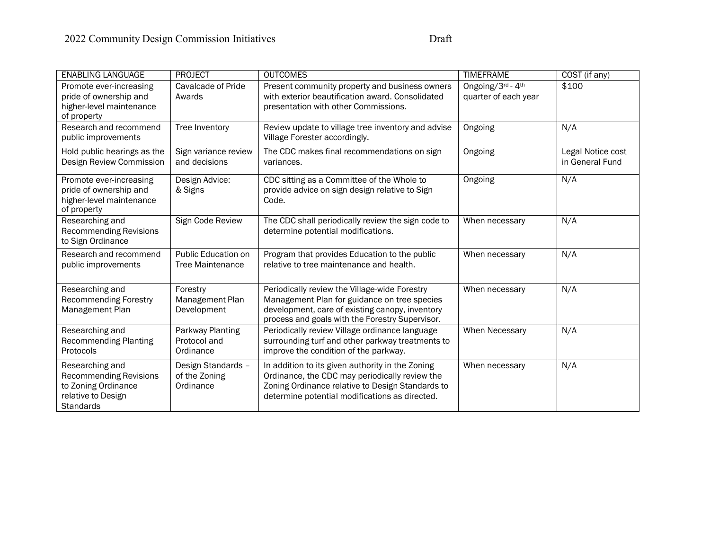| <b>ENABLING LANGUAGE</b>                                                                                   | <b>PROJECT</b>                                   | <b>OUTCOMES</b>                                                                                                                                                                                          | <b>TIMEFRAME</b>                          | COST (if any)                        |
|------------------------------------------------------------------------------------------------------------|--------------------------------------------------|----------------------------------------------------------------------------------------------------------------------------------------------------------------------------------------------------------|-------------------------------------------|--------------------------------------|
| Promote ever-increasing<br>pride of ownership and<br>higher-level maintenance<br>of property               | Cavalcade of Pride<br>Awards                     | Present community property and business owners<br>with exterior beautification award. Consolidated<br>presentation with other Commissions.                                                               | Ongoing/3rd - 4th<br>quarter of each year | \$100                                |
| Research and recommend<br>public improvements                                                              | Tree Inventory                                   | Review update to village tree inventory and advise<br>Village Forester accordingly.                                                                                                                      | Ongoing                                   | N/A                                  |
| Hold public hearings as the<br>Design Review Commission                                                    | Sign variance review<br>and decisions            | The CDC makes final recommendations on sign<br>variances.                                                                                                                                                | Ongoing                                   | Legal Notice cost<br>in General Fund |
| Promote ever-increasing<br>pride of ownership and<br>higher-level maintenance<br>of property               | Design Advice:<br>& Signs                        | CDC sitting as a Committee of the Whole to<br>provide advice on sign design relative to Sign<br>Code.                                                                                                    | Ongoing                                   | N/A                                  |
| Researching and<br><b>Recommending Revisions</b><br>to Sign Ordinance                                      | Sign Code Review                                 | The CDC shall periodically review the sign code to<br>determine potential modifications.                                                                                                                 | When necessary                            | N/A                                  |
| Research and recommend<br>public improvements                                                              | Public Education on<br><b>Tree Maintenance</b>   | Program that provides Education to the public<br>relative to tree maintenance and health.                                                                                                                | When necessary                            | N/A                                  |
| Researching and<br><b>Recommending Forestry</b><br>Management Plan                                         | Forestry<br>Management Plan<br>Development       | Periodically review the Village-wide Forestry<br>Management Plan for guidance on tree species<br>development, care of existing canopy, inventory<br>process and goals with the Forestry Supervisor.      | When necessary                            | N/A                                  |
| Researching and<br><b>Recommending Planting</b><br>Protocols                                               | Parkway Planting<br>Protocol and<br>Ordinance    | Periodically review Village ordinance language<br>surrounding turf and other parkway treatments to<br>improve the condition of the parkway.                                                              | When Necessary                            | N/A                                  |
| Researching and<br><b>Recommending Revisions</b><br>to Zoning Ordinance<br>relative to Design<br>Standards | Design Standards -<br>of the Zoning<br>Ordinance | In addition to its given authority in the Zoning<br>Ordinance, the CDC may periodically review the<br>Zoning Ordinance relative to Design Standards to<br>determine potential modifications as directed. | When necessary                            | N/A                                  |